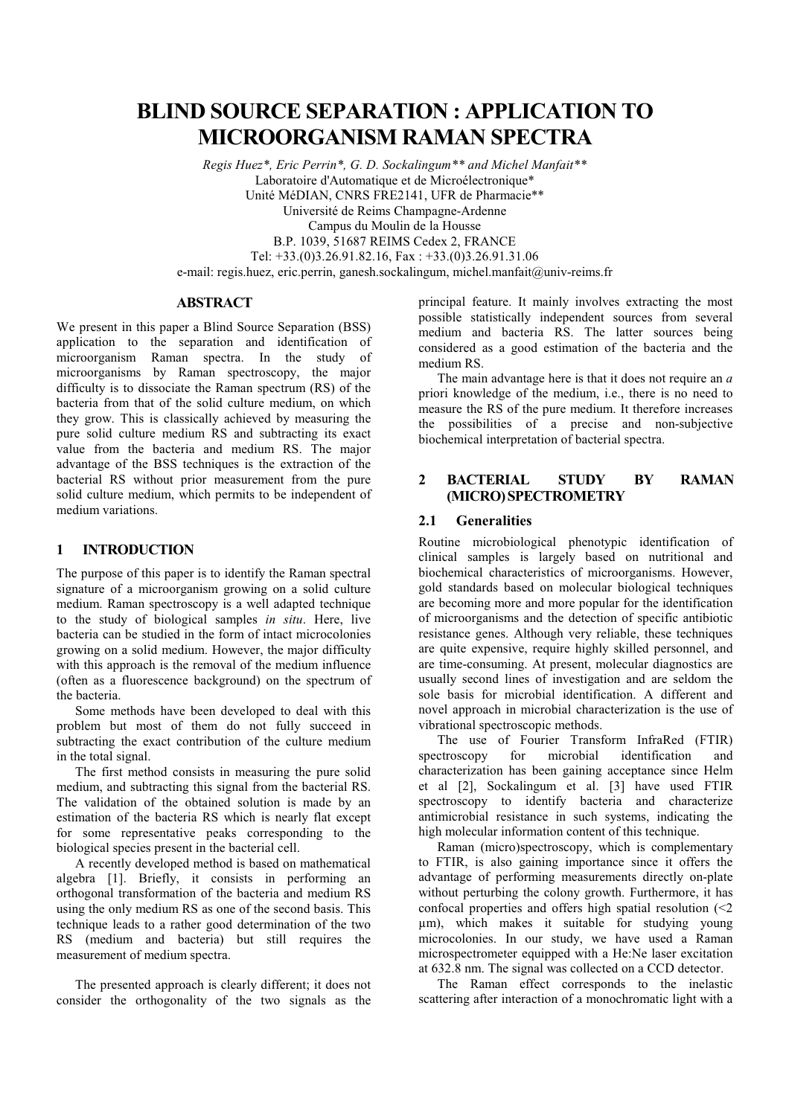# **BLIND SOURCE SEPARATION : APPLICATION TO MICROORGANISM RAMAN SPECTRA**

Regis Huez\*, Eric Perrin\*, G. D. Sockalingum\*\* and Michel Manfait\*\* Laboratoire d'Automatique et de Microélectronique\* Unité MéDIAN, CNRS FRE2141, UFR de Pharmacie\*\* Université de Reims Champagne-Ardenne Campus du Moulin de la Housse B.P. 1039, 51687 REIMS Cedex 2, FRANCE Tel: +33.(0)3.26.91.82.16, Fax: +33.(0)3.26.91.31.06

e-mail: regis.huez, eric.perrin, ganesh.sockalingum, michel.manfait@univ-reims.fr

## **ABSTRACT**

We present in this paper a Blind Source Separation (BSS) application to the separation and identification of microorganism Raman spectra. In the study of microorganisms by Raman spectroscopy, the major difficulty is to dissociate the Raman spectrum (RS) of the bacteria from that of the solid culture medium, on which they grow. This is classically achieved by measuring the pure solid culture medium RS and subtracting its exact value from the bacteria and medium RS. The major advantage of the BSS techniques is the extraction of the bacterial RS without prior measurement from the pure solid culture medium, which permits to be independent of medium variations.

### $\mathbf{1}$ **INTRODUCTION**

The purpose of this paper is to identify the Raman spectral signature of a microorganism growing on a solid culture medium. Raman spectroscopy is a well adapted technique to the study of biological samples in situ. Here, live bacteria can be studied in the form of intact microcolonies growing on a solid medium. However, the major difficulty with this approach is the removal of the medium influence (often as a fluorescence background) on the spectrum of the bacteria.

Some methods have been developed to deal with this problem but most of them do not fully succeed in subtracting the exact contribution of the culture medium in the total signal.

The first method consists in measuring the pure solid medium, and subtracting this signal from the bacterial RS. The validation of the obtained solution is made by an estimation of the bacteria RS which is nearly flat except for some representative peaks corresponding to the biological species present in the bacterial cell.

A recently developed method is based on mathematical algebra [1]. Briefly, it consists in performing an orthogonal transformation of the bacteria and medium RS using the only medium RS as one of the second basis. This technique leads to a rather good determination of the two RS (medium and bacteria) but still requires the measurement of medium spectra.

The presented approach is clearly different; it does not consider the orthogonality of the two signals as the

principal feature. It mainly involves extracting the most possible statistically independent sources from several medium and bacteria RS. The latter sources being considered as a good estimation of the bacteria and the medium RS.

The main advantage here is that it does not require an  $a$ priori knowledge of the medium, i.e., there is no need to measure the RS of the pure medium. It therefore increases the possibilities of a precise and non-subjective biochemical interpretation of bacterial spectra.

#### $\overline{2}$ **BACTERIAL STUDY**  $BY$ **RAMAN** (MICRO) SPECTROMETRY

### $2.1$ **Generalities**

Routine microbiological phenotypic identification of clinical samples is largely based on nutritional and biochemical characteristics of microorganisms. However, gold standards based on molecular biological techniques are becoming more and more popular for the identification of microorganisms and the detection of specific antibiotic resistance genes. Although very reliable, these techniques are quite expensive, require highly skilled personnel, and are time-consuming. At present, molecular diagnostics are usually second lines of investigation and are seldom the sole basis for microbial identification. A different and novel approach in microbial characterization is the use of vibrational spectroscopic methods.

The use of Fourier Transform InfraRed (FTIR) spectroscopy for microbial identification and characterization has been gaining acceptance since Helm et al [2], Sockalingum et al. [3] have used FTIR spectroscopy to identify bacteria and characterize antimicrobial resistance in such systems, indicating the high molecular information content of this technique.

Raman (micro)spectroscopy, which is complementary to FTIR, is also gaining importance since it offers the advantage of performing measurements directly on-plate without perturbing the colony growth. Furthermore, it has confocal properties and offers high spatial resolution  $\leq 2$ um), which makes it suitable for studying young microcolonies. In our study, we have used a Raman microspectrometer equipped with a He:Ne laser excitation at 632.8 nm. The signal was collected on a CCD detector.

The Raman effect corresponds to the inelastic scattering after interaction of a monochromatic light with a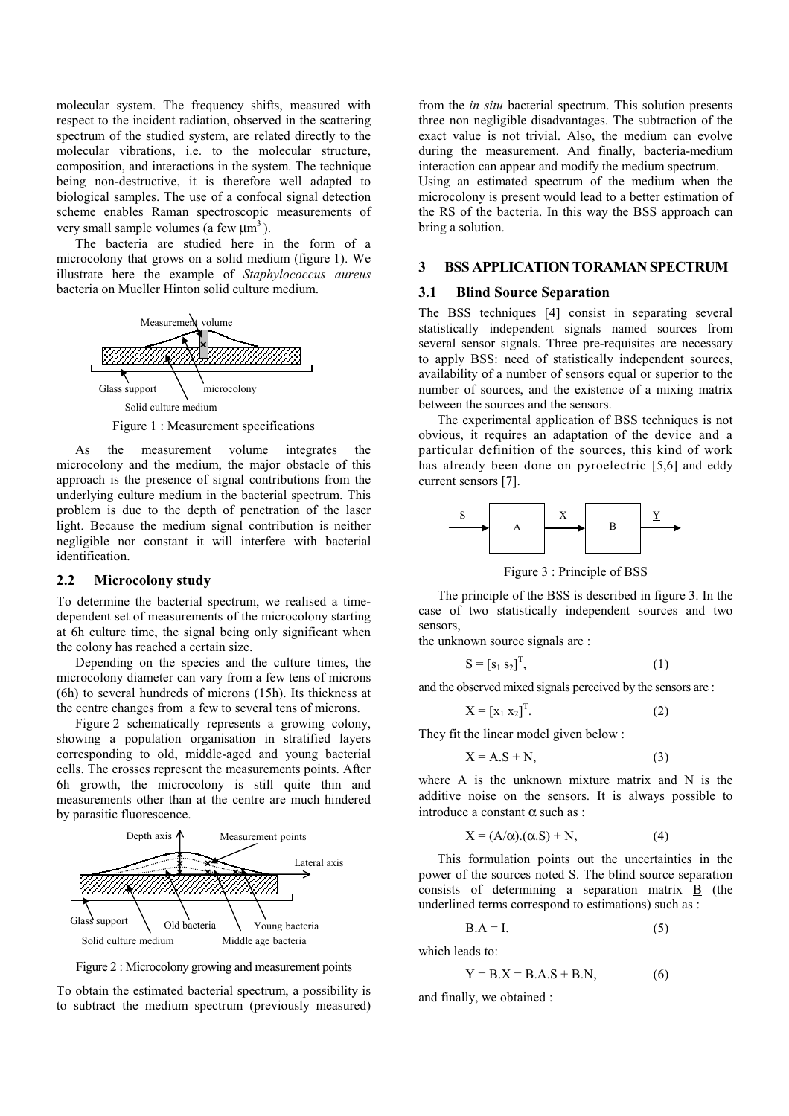molecular system. The frequency shifts, measured with respect to the incident radiation, observed in the scattering spectrum of the studied system, are related directly to the molecular vibrations, i.e. to the molecular structure, composition, and interactions in the system. The technique being non-destructive, it is therefore well adapted to biological samples. The use of a confocal signal detection scheme enables Raman spectroscopic measurements of very small sample volumes (a few  $\mu$ m<sup>3</sup>).

The bacteria are studied here in the form of a microcolony that grows on a solid medium (figure 1). We illustrate here the example of Staphylococcus aureus bacteria on Mueller Hinton solid culture medium.



Figure 1 : Measurement specifications

the measurement volume integrates  $As$ the microcolony and the medium, the major obstacle of this approach is the presence of signal contributions from the underlying culture medium in the bacterial spectrum. This problem is due to the depth of penetration of the laser light. Because the medium signal contribution is neither negligible nor constant it will interfere with bacterial identification.

### $2.2$ **Microcolony study**

To determine the bacterial spectrum, we realised a timedependent set of measurements of the microcolony starting at 6h culture time, the signal being only significant when the colony has reached a certain size.

Depending on the species and the culture times, the microcolony diameter can vary from a few tens of microns (6h) to several hundreds of microns (15h). Its thickness at the centre changes from a few to several tens of microns.

Figure 2 schematically represents a growing colony, showing a population organisation in stratified layers corresponding to old, middle-aged and young bacterial cells. The crosses represent the measurements points. After 6h growth, the microcolony is still quite thin and measurements other than at the centre are much hindered by parasitic fluorescence.



Figure 2: Microcolony growing and measurement points

To obtain the estimated bacterial spectrum, a possibility is to subtract the medium spectrum (previously measured) from the *in situ* bacterial spectrum. This solution presents three non negligible disadvantages. The subtraction of the exact value is not trivial. Also, the medium can evolve during the measurement. And finally, bacteria-medium interaction can appear and modify the medium spectrum.

Using an estimated spectrum of the medium when the microcolony is present would lead to a better estimation of the RS of the bacteria. In this way the BSS approach can bring a solution.

### $\overline{3}$ **BSS APPLICATION TORAMAN SPECTRUM**

### $3.1$ **Blind Source Separation**

The BSS techniques [4] consist in separating several statistically independent signals named sources from several sensor signals. Three pre-requisites are necessary to apply BSS: need of statistically independent sources, availability of a number of sensors equal or superior to the number of sources, and the existence of a mixing matrix between the sources and the sensors.

The experimental application of BSS techniques is not obvious, it requires an adaptation of the device and a particular definition of the sources, this kind of work has already been done on pyroelectric [5,6] and eddy current sensors [7].



Figure 3 : Principle of BSS

The principle of the BSS is described in figure 3. In the case of two statistically independent sources and two sensors

the unknown source signals are:

$$
\mathbf{S} = [\mathbf{s}_1 \ \mathbf{s}_2]^{\mathrm{T}},\tag{1}
$$

and the observed mixed signals perceived by the sensors are:

$$
X = [x_1 \ x_2]^T. \tag{2}
$$

They fit the linear model given below:

$$
X = A.S + N,
$$
 (3)

where  $A$  is the unknown mixture matrix and  $N$  is the additive noise on the sensors. It is always possible to introduce a constant  $\alpha$  such as :

$$
X = (A/\alpha).(\alpha.S) + N,
$$
 (4)

This formulation points out the uncertainties in the power of the sources noted S. The blind source separation consists of determining a separation matrix  $\overrightarrow{B}$  (the underlined terms correspond to estimations) such as :

$$
\underline{\mathbf{B}}.\mathbf{A} = \mathbf{I}.\tag{5}
$$

which leads to:

$$
\underline{Y} = \underline{B} \cdot X = \underline{B} \cdot A \cdot S + \underline{B} \cdot N,\tag{6}
$$

and finally, we obtained :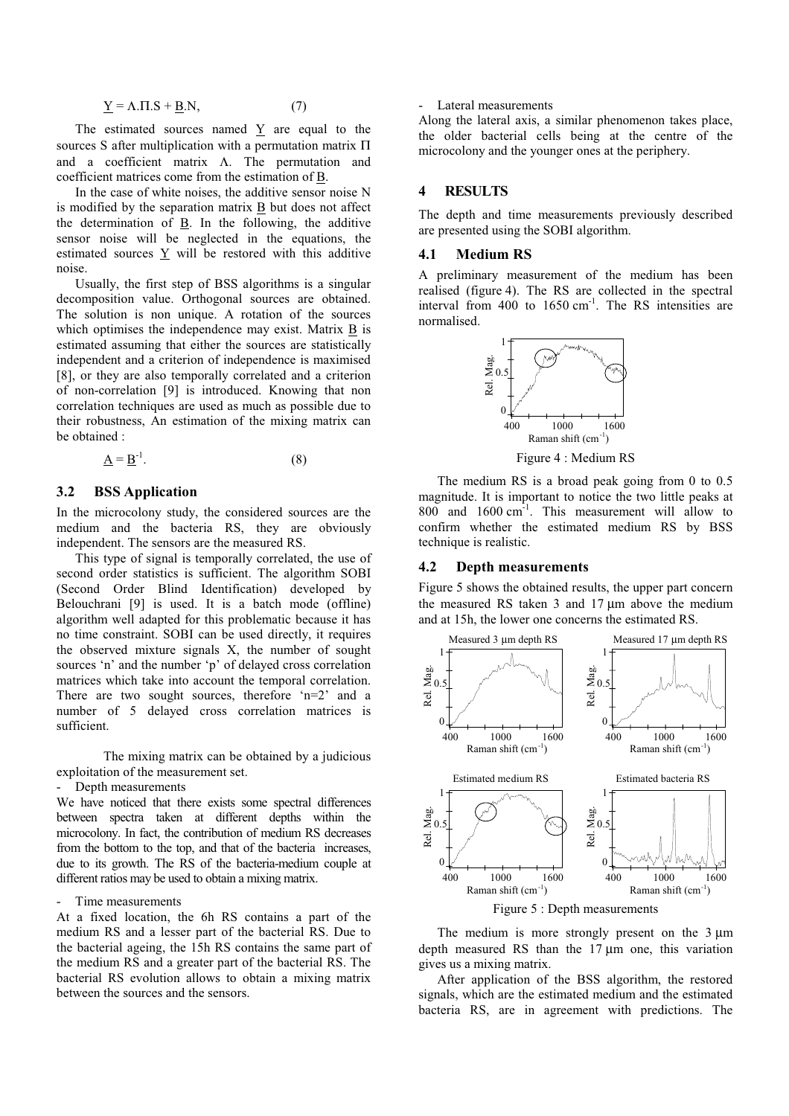$$
\underline{Y} = \Lambda \cdot \Pi \cdot S + \underline{B} \cdot N,\tag{7}
$$

The estimated sources named Y are equal to the sources S after multiplication with a permutation matrix  $\Pi$ and a coefficient matrix  $\Lambda$ . The permutation and coefficient matrices come from the estimation of B.

In the case of white noises, the additive sensor noise N is modified by the separation matrix B but does not affect the determination of  $\underline{B}$ . In the following, the additive sensor noise will be neglected in the equations, the estimated sources  $\underline{Y}$  will be restored with this additive noise.

Usually, the first step of BSS algorithms is a singular decomposition value. Orthogonal sources are obtained. The solution is non unique. A rotation of the sources which optimises the independence may exist. Matrix B is estimated assuming that either the sources are statistically independent and a criterion of independence is maximised [8], or they are also temporally correlated and a criterion of non-correlation [9] is introduced. Knowing that non correlation techniques are used as much as possible due to their robustness, An estimation of the mixing matrix can he obtained :

$$
\underline{A} = \underline{B}^{-1}.
$$
 (8)

### $3.2$ **BSS** Application

In the microcolony study, the considered sources are the medium and the bacteria RS, they are obviously independent. The sensors are the measured RS.

This type of signal is temporally correlated, the use of second order statistics is sufficient. The algorithm SOBI (Second Order Blind Identification) developed by Belouchrani [9] is used. It is a batch mode (offline) algorithm well adapted for this problematic because it has no time constraint. SOBI can be used directly, it requires the observed mixture signals X, the number of sought sources 'n' and the number 'p' of delayed cross correlation matrices which take into account the temporal correlation. There are two sought sources, therefore  $n=2$  and a number of 5 delayed cross correlation matrices is sufficient.

The mixing matrix can be obtained by a judicious exploitation of the measurement set.

Depth measurements

We have noticed that there exists some spectral differences between spectra taken at different depths within the microcolony. In fact, the contribution of medium RS decreases from the bottom to the top, and that of the bacteria increases, due to its growth. The RS of the bacteria-medium couple at different ratios may be used to obtain a mixing matrix.

### Time measurements

At a fixed location, the 6h RS contains a part of the medium RS and a lesser part of the bacterial RS. Due to the bacterial ageing, the 15h RS contains the same part of the medium RS and a greater part of the bacterial RS. The bacterial RS evolution allows to obtain a mixing matrix between the sources and the sensors.

### Lateral measurements

Along the lateral axis, a similar phenomenon takes place, the older bacterial cells being at the centre of the microcolony and the younger ones at the periphery.

### **RESULTS**  $\boldsymbol{\Lambda}$

The depth and time measurements previously described are presented using the SOBI algorithm.

#### 4.1 **Medium RS**

A preliminary measurement of the medium has been realised (figure 4). The RS are collected in the spectral interval from 400 to  $1650 \text{ cm}^{-1}$ . The RS intensities are normalised.



Figure 4 : Medium RS

The medium RS is a broad peak going from 0 to 0.5 magnitude. It is important to notice the two little peaks at 800 and 1600 cm<sup>-1</sup>. This measurement will allow to confirm whether the estimated medium RS by BSS technique is realistic.

#### 4.2 **Depth measurements**

Figure 5 shows the obtained results, the upper part concern the measured RS taken 3 and 17 µm above the medium and at 15h, the lower one concerns the estimated RS.



The medium is more strongly present on the  $3 \mu m$ depth measured RS than the  $17 \mu m$  one, this variation gives us a mixing matrix.

After application of the BSS algorithm, the restored signals, which are the estimated medium and the estimated bacteria RS, are in agreement with predictions. The